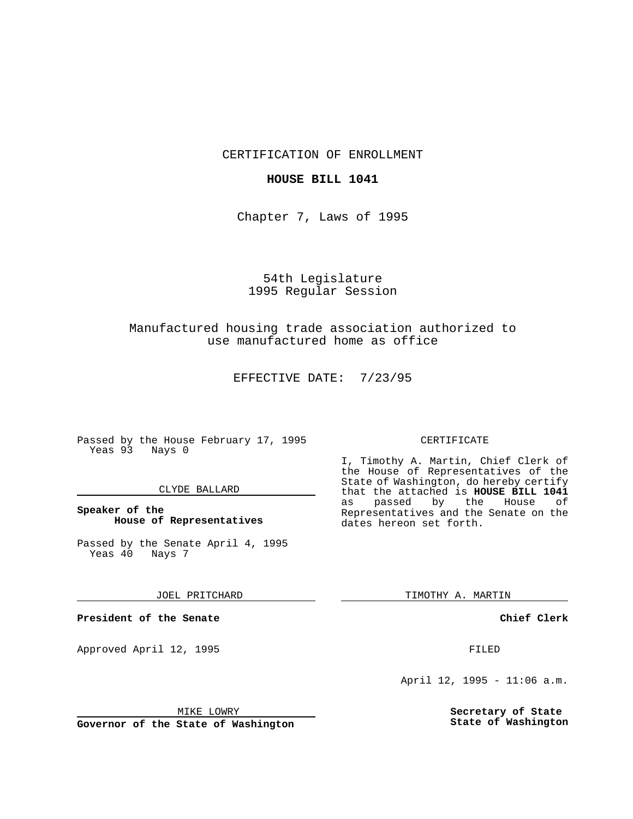CERTIFICATION OF ENROLLMENT

## **HOUSE BILL 1041**

Chapter 7, Laws of 1995

# 54th Legislature 1995 Regular Session

## Manufactured housing trade association authorized to use manufactured home as office

EFFECTIVE DATE: 7/23/95

Passed by the House February 17, 1995 Yeas 93 Nays 0

### CLYDE BALLARD

## **Speaker of the House of Representatives**

Passed by the Senate April 4, 1995 Yeas 40 Nays 7

#### JOEL PRITCHARD

**President of the Senate**

Approved April 12, 1995 FILED

### CERTIFICATE

I, Timothy A. Martin, Chief Clerk of the House of Representatives of the State of Washington, do hereby certify that the attached is **HOUSE BILL 1041** as passed by the Representatives and the Senate on the dates hereon set forth.

TIMOTHY A. MARTIN

**Chief Clerk**

April 12, 1995 - 11:06 a.m.

**Secretary of State State of Washington**

MIKE LOWRY

**Governor of the State of Washington**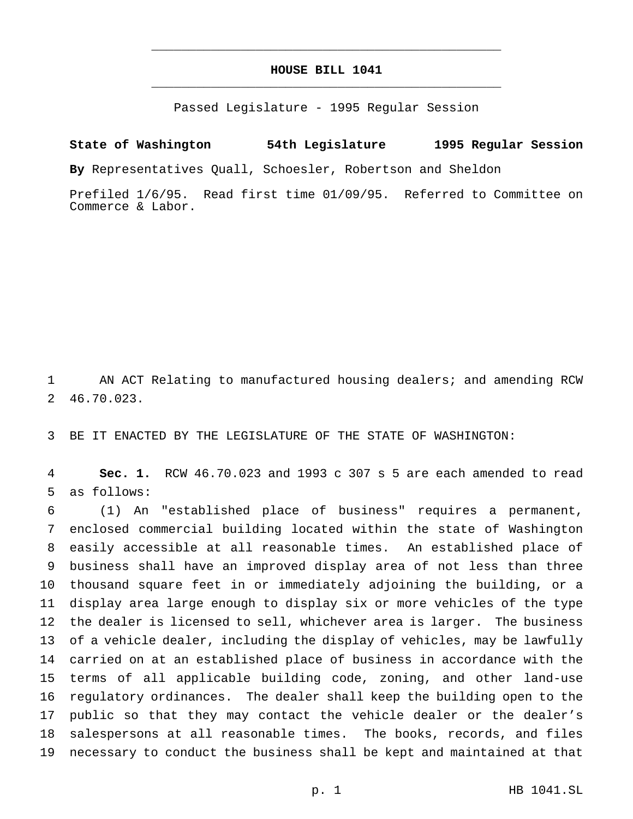## **HOUSE BILL 1041** \_\_\_\_\_\_\_\_\_\_\_\_\_\_\_\_\_\_\_\_\_\_\_\_\_\_\_\_\_\_\_\_\_\_\_\_\_\_\_\_\_\_\_\_\_\_\_

\_\_\_\_\_\_\_\_\_\_\_\_\_\_\_\_\_\_\_\_\_\_\_\_\_\_\_\_\_\_\_\_\_\_\_\_\_\_\_\_\_\_\_\_\_\_\_

Passed Legislature - 1995 Regular Session

**State of Washington 54th Legislature 1995 Regular Session By** Representatives Quall, Schoesler, Robertson and Sheldon

Prefiled 1/6/95. Read first time 01/09/95. Referred to Committee on Commerce & Labor.

 AN ACT Relating to manufactured housing dealers; and amending RCW 46.70.023.

BE IT ENACTED BY THE LEGISLATURE OF THE STATE OF WASHINGTON:

 **Sec. 1.** RCW 46.70.023 and 1993 c 307 s 5 are each amended to read as follows:

 (1) An "established place of business" requires a permanent, enclosed commercial building located within the state of Washington easily accessible at all reasonable times. An established place of business shall have an improved display area of not less than three thousand square feet in or immediately adjoining the building, or a display area large enough to display six or more vehicles of the type the dealer is licensed to sell, whichever area is larger. The business of a vehicle dealer, including the display of vehicles, may be lawfully carried on at an established place of business in accordance with the terms of all applicable building code, zoning, and other land-use regulatory ordinances. The dealer shall keep the building open to the public so that they may contact the vehicle dealer or the dealer's salespersons at all reasonable times. The books, records, and files necessary to conduct the business shall be kept and maintained at that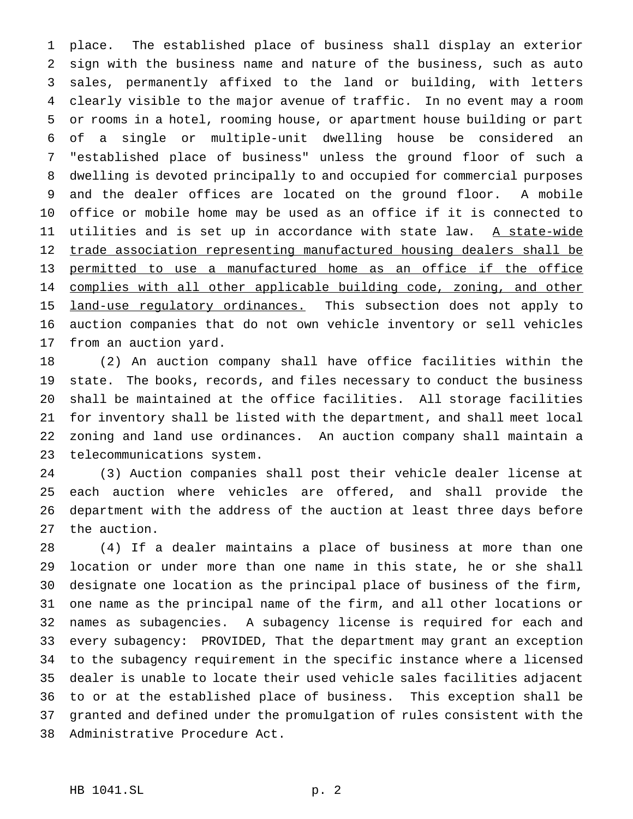place. The established place of business shall display an exterior sign with the business name and nature of the business, such as auto sales, permanently affixed to the land or building, with letters clearly visible to the major avenue of traffic. In no event may a room or rooms in a hotel, rooming house, or apartment house building or part of a single or multiple-unit dwelling house be considered an "established place of business" unless the ground floor of such a dwelling is devoted principally to and occupied for commercial purposes and the dealer offices are located on the ground floor. A mobile office or mobile home may be used as an office if it is connected to 11 utilities and is set up in accordance with state law. A state-wide trade association representing manufactured housing dealers shall be permitted to use a manufactured home as an office if the office 14 complies with all other applicable building code, zoning, and other 15 land-use regulatory ordinances. This subsection does not apply to auction companies that do not own vehicle inventory or sell vehicles from an auction yard.

 (2) An auction company shall have office facilities within the state. The books, records, and files necessary to conduct the business shall be maintained at the office facilities. All storage facilities for inventory shall be listed with the department, and shall meet local zoning and land use ordinances. An auction company shall maintain a telecommunications system.

 (3) Auction companies shall post their vehicle dealer license at each auction where vehicles are offered, and shall provide the department with the address of the auction at least three days before the auction.

 (4) If a dealer maintains a place of business at more than one location or under more than one name in this state, he or she shall designate one location as the principal place of business of the firm, one name as the principal name of the firm, and all other locations or names as subagencies. A subagency license is required for each and every subagency: PROVIDED, That the department may grant an exception to the subagency requirement in the specific instance where a licensed dealer is unable to locate their used vehicle sales facilities adjacent to or at the established place of business. This exception shall be granted and defined under the promulgation of rules consistent with the Administrative Procedure Act.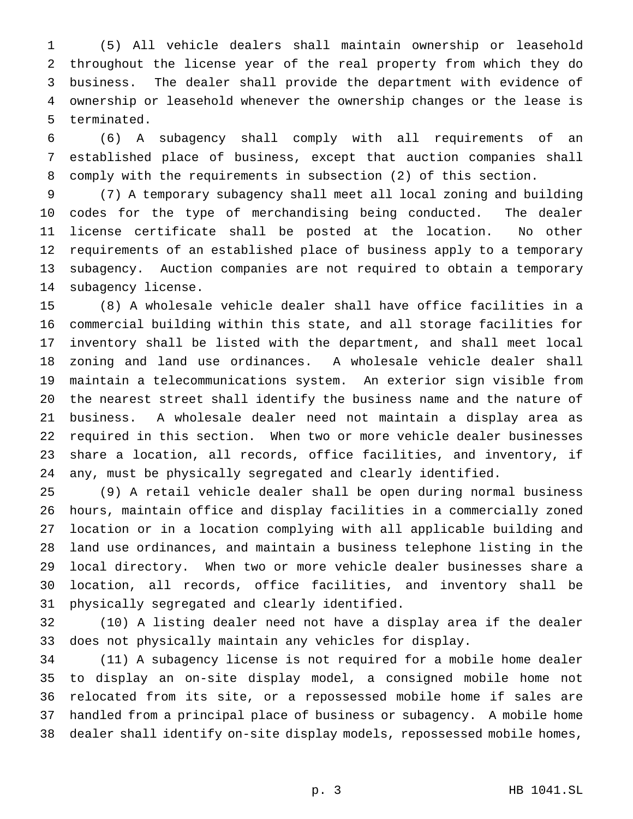(5) All vehicle dealers shall maintain ownership or leasehold throughout the license year of the real property from which they do business. The dealer shall provide the department with evidence of ownership or leasehold whenever the ownership changes or the lease is terminated.

 (6) A subagency shall comply with all requirements of an established place of business, except that auction companies shall comply with the requirements in subsection (2) of this section.

 (7) A temporary subagency shall meet all local zoning and building codes for the type of merchandising being conducted. The dealer license certificate shall be posted at the location. No other requirements of an established place of business apply to a temporary subagency. Auction companies are not required to obtain a temporary subagency license.

 (8) A wholesale vehicle dealer shall have office facilities in a commercial building within this state, and all storage facilities for inventory shall be listed with the department, and shall meet local zoning and land use ordinances. A wholesale vehicle dealer shall maintain a telecommunications system. An exterior sign visible from the nearest street shall identify the business name and the nature of business. A wholesale dealer need not maintain a display area as required in this section. When two or more vehicle dealer businesses share a location, all records, office facilities, and inventory, if any, must be physically segregated and clearly identified.

 (9) A retail vehicle dealer shall be open during normal business hours, maintain office and display facilities in a commercially zoned location or in a location complying with all applicable building and land use ordinances, and maintain a business telephone listing in the local directory. When two or more vehicle dealer businesses share a location, all records, office facilities, and inventory shall be physically segregated and clearly identified.

 (10) A listing dealer need not have a display area if the dealer does not physically maintain any vehicles for display.

 (11) A subagency license is not required for a mobile home dealer to display an on-site display model, a consigned mobile home not relocated from its site, or a repossessed mobile home if sales are handled from a principal place of business or subagency. A mobile home dealer shall identify on-site display models, repossessed mobile homes,